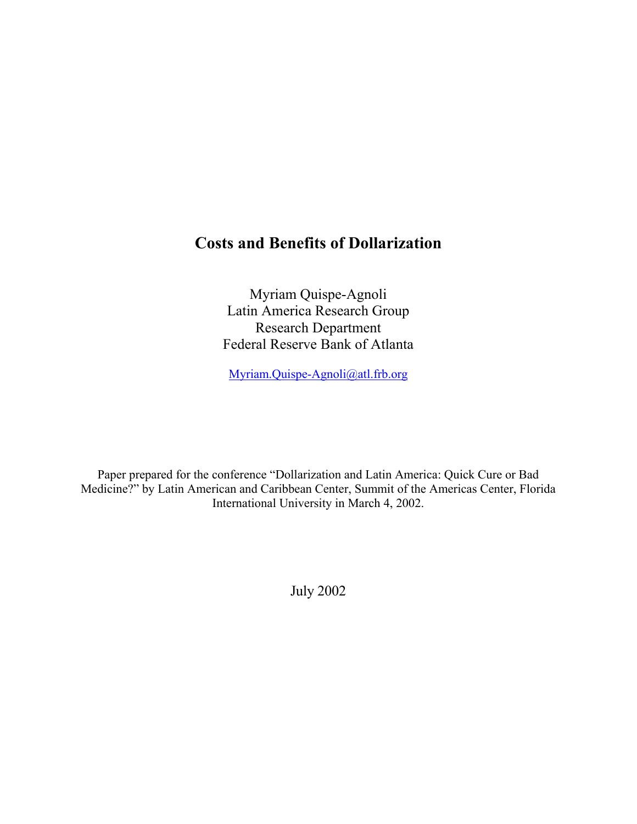# **Costs and Benefits of Dollarization**

Myriam Quispe-Agnoli Latin America Research Group Research Department Federal Reserve Bank of Atlanta

[Myriam.Quispe-Agnoli@atl.frb.org](mailto:Myriam.Quispe-Agnoli@atl.frb.org)

Paper prepared for the conference "Dollarization and Latin America: Quick Cure or Bad Medicine?" by Latin American and Caribbean Center, Summit of the Americas Center, Florida International University in March 4, 2002.

July 2002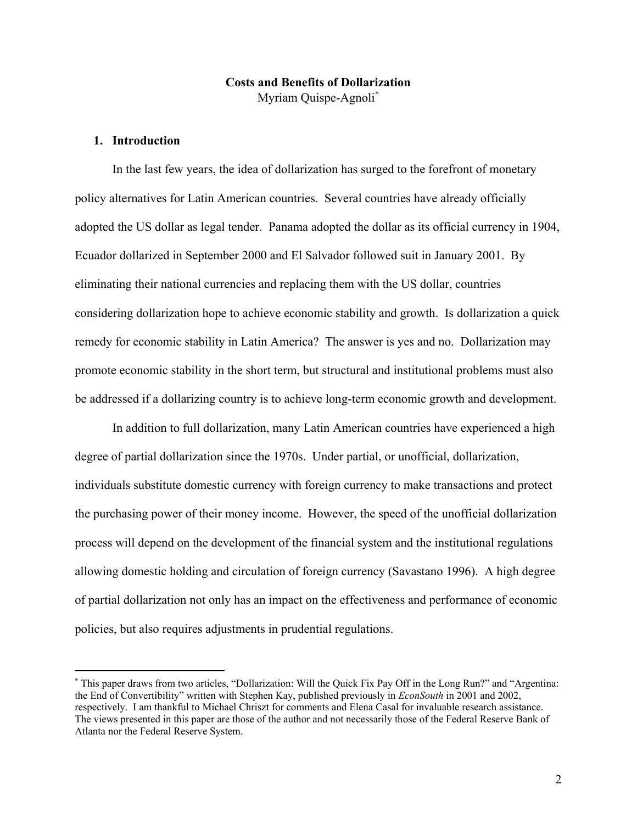# **Costs and Benefits of Dollarization**  Myriam Quispe-Agnoli[∗](#page-2-0)

# **1. Introduction**

 $\overline{a}$ 

In the last few years, the idea of dollarization has surged to the forefront of monetary policy alternatives for Latin American countries. Several countries have already officially adopted the US dollar as legal tender. Panama adopted the dollar as its official currency in 1904, Ecuador dollarized in September 2000 and El Salvador followed suit in January 2001. By eliminating their national currencies and replacing them with the US dollar, countries considering dollarization hope to achieve economic stability and growth. Is dollarization a quick remedy for economic stability in Latin America? The answer is yes and no. Dollarization may promote economic stability in the short term, but structural and institutional problems must also be addressed if a dollarizing country is to achieve long-term economic growth and development.

In addition to full dollarization, many Latin American countries have experienced a high degree of partial dollarization since the 1970s. Under partial, or unofficial, dollarization, individuals substitute domestic currency with foreign currency to make transactions and protect the purchasing power of their money income. However, the speed of the unofficial dollarization process will depend on the development of the financial system and the institutional regulations allowing domestic holding and circulation of foreign currency (Savastano 1996). A high degree of partial dollarization not only has an impact on the effectiveness and performance of economic policies, but also requires adjustments in prudential regulations.

<span id="page-2-0"></span><sup>∗</sup> This paper draws from two articles, "Dollarization: Will the Quick Fix Pay Off in the Long Run?" and "Argentina: the End of Convertibility" written with Stephen Kay, published previously in *EconSouth* in 2001 and 2002, respectively. I am thankful to Michael Chriszt for comments and Elena Casal for invaluable research assistance. The views presented in this paper are those of the author and not necessarily those of the Federal Reserve Bank of Atlanta nor the Federal Reserve System.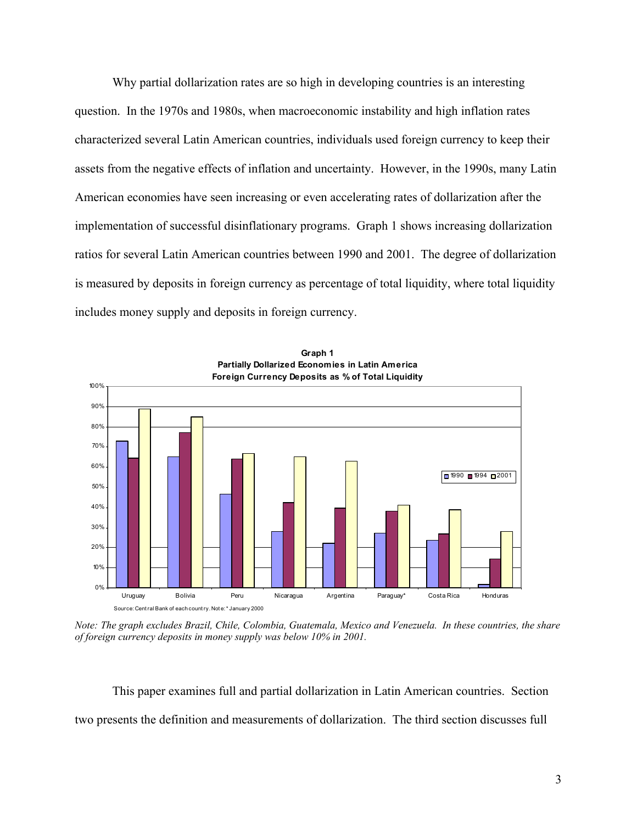Why partial dollarization rates are so high in developing countries is an interesting question. In the 1970s and 1980s, when macroeconomic instability and high inflation rates characterized several Latin American countries, individuals used foreign currency to keep their assets from the negative effects of inflation and uncertainty. However, in the 1990s, many Latin American economies have seen increasing or even accelerating rates of dollarization after the implementation of successful disinflationary programs. Graph 1 shows increasing dollarization ratios for several Latin American countries between 1990 and 2001. The degree of dollarization is measured by deposits in foreign currency as percentage of total liquidity, where total liquidity includes money supply and deposits in foreign currency.



**Graph 1**

*Note: The graph excludes Brazil, Chile, Colombia, Guatemala, Mexico and Venezuela. In these countries, the share of foreign currency deposits in money supply was below 10% in 2001.* 

This paper examines full and partial dollarization in Latin American countries. Section two presents the definition and measurements of dollarization. The third section discusses full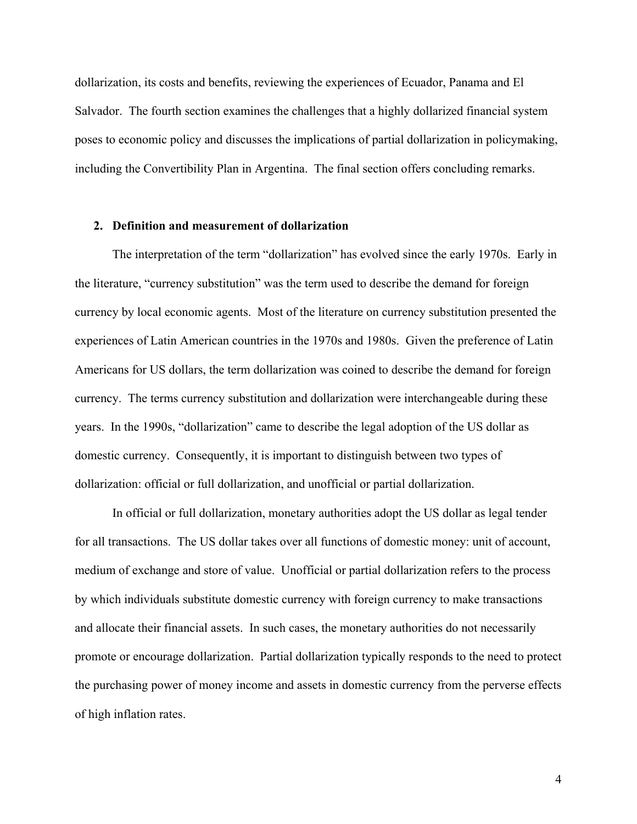dollarization, its costs and benefits, reviewing the experiences of Ecuador, Panama and El Salvador. The fourth section examines the challenges that a highly dollarized financial system poses to economic policy and discusses the implications of partial dollarization in policymaking, including the Convertibility Plan in Argentina. The final section offers concluding remarks.

#### **2. Definition and measurement of dollarization**

The interpretation of the term "dollarization" has evolved since the early 1970s. Early in the literature, "currency substitution" was the term used to describe the demand for foreign currency by local economic agents. Most of the literature on currency substitution presented the experiences of Latin American countries in the 1970s and 1980s. Given the preference of Latin Americans for US dollars, the term dollarization was coined to describe the demand for foreign currency. The terms currency substitution and dollarization were interchangeable during these years. In the 1990s, "dollarization" came to describe the legal adoption of the US dollar as domestic currency. Consequently, it is important to distinguish between two types of dollarization: official or full dollarization, and unofficial or partial dollarization.

In official or full dollarization, monetary authorities adopt the US dollar as legal tender for all transactions. The US dollar takes over all functions of domestic money: unit of account, medium of exchange and store of value. Unofficial or partial dollarization refers to the process by which individuals substitute domestic currency with foreign currency to make transactions and allocate their financial assets. In such cases, the monetary authorities do not necessarily promote or encourage dollarization. Partial dollarization typically responds to the need to protect the purchasing power of money income and assets in domestic currency from the perverse effects of high inflation rates.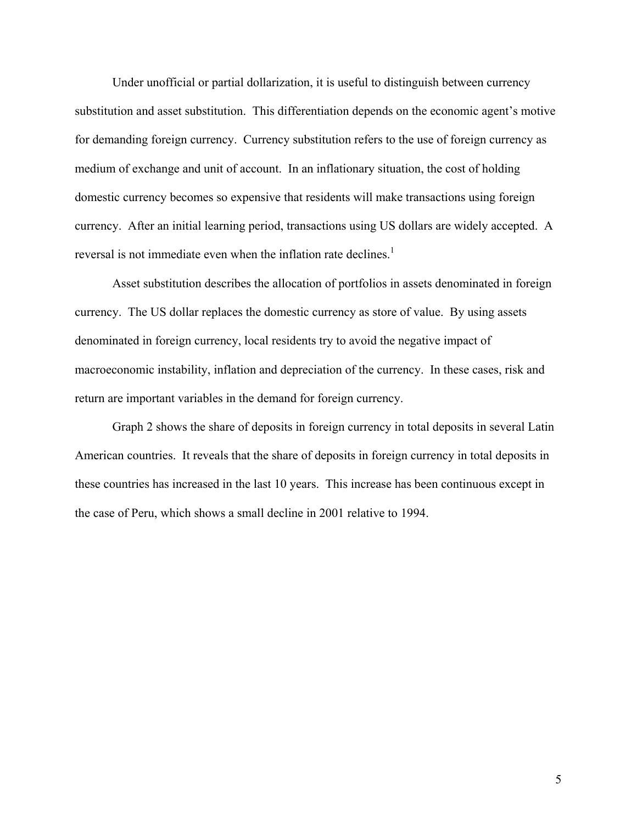Under unofficial or partial dollarization, it is useful to distinguish between currency substitution and asset substitution. This differentiation depends on the economic agent's motive for demanding foreign currency. Currency substitution refers to the use of foreign currency as medium of exchange and unit of account. In an inflationary situation, the cost of holding domestic currency becomes so expensive that residents will make transactions using foreign currency. After an initial learning period, transactions using US dollars are widely accepted. A reversal is not immediate even when the inflation rate declines.<sup>[1](#page-30-0)</sup>

Asset substitution describes the allocation of portfolios in assets denominated in foreign currency. The US dollar replaces the domestic currency as store of value. By using assets denominated in foreign currency, local residents try to avoid the negative impact of macroeconomic instability, inflation and depreciation of the currency. In these cases, risk and return are important variables in the demand for foreign currency.

Graph 2 shows the share of deposits in foreign currency in total deposits in several Latin American countries. It reveals that the share of deposits in foreign currency in total deposits in these countries has increased in the last 10 years. This increase has been continuous except in the case of Peru, which shows a small decline in 2001 relative to 1994.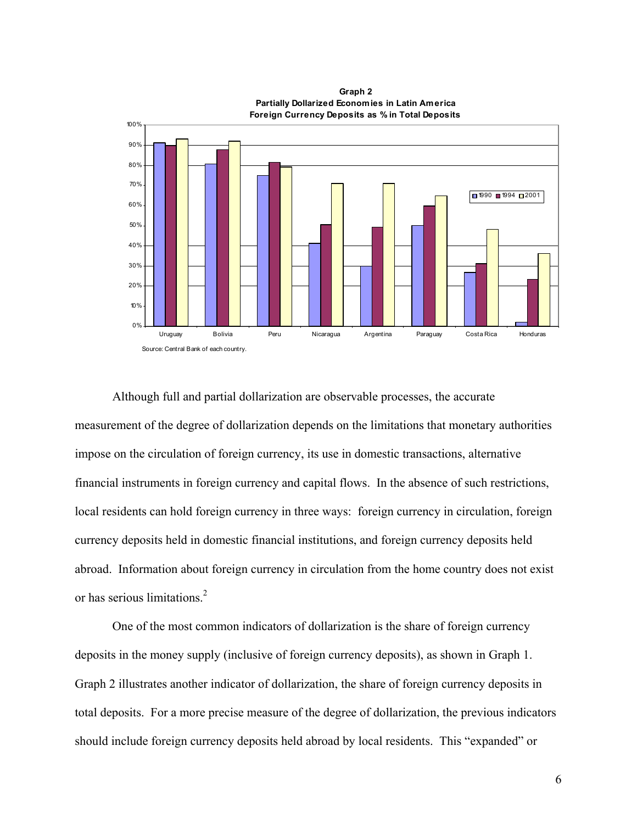**Foreign Currency Deposits as % in Total Deposits** 0% 10% 20% 30% 40% 50% 60% 70% 80% 90% 100% Uruguay Bolivia Peru Nicaragua Argentina Paraguay Costa Rica Honduras 1990 1994 □ 2001 Source: Central Bank of each country.

**Graph 2 Partially Dollarized Economies in Latin America**

Although full and partial dollarization are observable processes, the accurate measurement of the degree of dollarization depends on the limitations that monetary authorities impose on the circulation of foreign currency, its use in domestic transactions, alternative financial instruments in foreign currency and capital flows. In the absence of such restrictions, local residents can hold foreign currency in three ways: foreign currency in circulation, foreign currency deposits held in domestic financial institutions, and foreign currency deposits held abroad. Information about foreign currency in circulation from the home country does not exist or has serious limitations. [2](#page-30-1)

One of the most common indicators of dollarization is the share of foreign currency deposits in the money supply (inclusive of foreign currency deposits), as shown in Graph 1. Graph 2 illustrates another indicator of dollarization, the share of foreign currency deposits in total deposits. For a more precise measure of the degree of dollarization, the previous indicators should include foreign currency deposits held abroad by local residents. This "expanded" or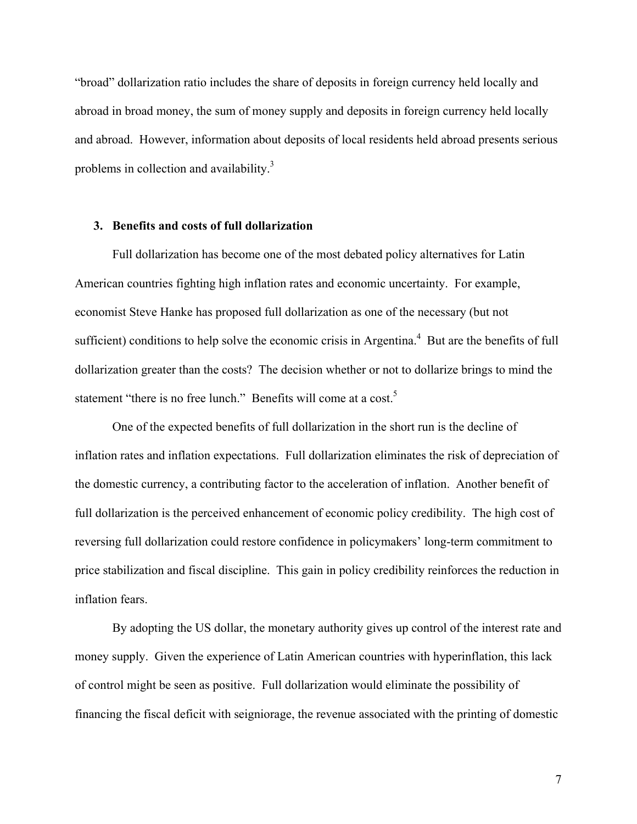"broad" dollarization ratio includes the share of deposits in foreign currency held locally and abroad in broad money, the sum of money supply and deposits in foreign currency held locally and abroad. However, information about deposits of local residents held abroad presents serious problems in collection and availability.<sup>[3](#page-30-2)</sup>

# **3. Benefits and costs of full dollarization**

Full dollarization has become one of the most debated policy alternatives for Latin American countries fighting high inflation rates and economic uncertainty. For example, economist Steve Hanke has proposed full dollarization as one of the necessary (but not sufficient) conditions to help solve the economic crisis in Argentina. $4$  But are the benefits of full dollarization greater than the costs? The decision whether or not to dollarize brings to mind the statement "there is no free lunch." Benefits will come at a cost.<sup>5</sup>

One of the expected benefits of full dollarization in the short run is the decline of inflation rates and inflation expectations. Full dollarization eliminates the risk of depreciation of the domestic currency, a contributing factor to the acceleration of inflation. Another benefit of full dollarization is the perceived enhancement of economic policy credibility. The high cost of reversing full dollarization could restore confidence in policymakers' long-term commitment to price stabilization and fiscal discipline. This gain in policy credibility reinforces the reduction in inflation fears.

By adopting the US dollar, the monetary authority gives up control of the interest rate and money supply. Given the experience of Latin American countries with hyperinflation, this lack of control might be seen as positive. Full dollarization would eliminate the possibility of financing the fiscal deficit with seigniorage, the revenue associated with the printing of domestic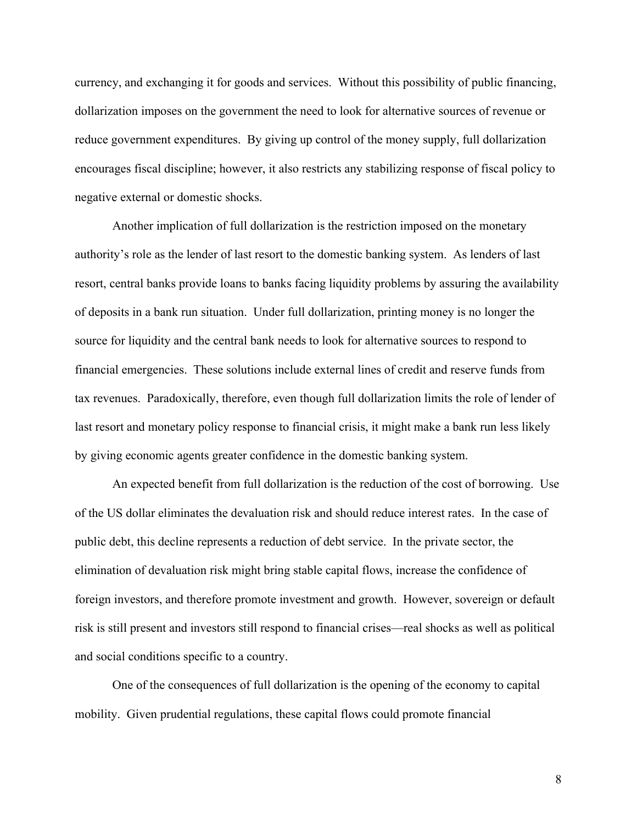currency, and exchanging it for goods and services. Without this possibility of public financing, dollarization imposes on the government the need to look for alternative sources of revenue or reduce government expenditures. By giving up control of the money supply, full dollarization encourages fiscal discipline; however, it also restricts any stabilizing response of fiscal policy to negative external or domestic shocks.

Another implication of full dollarization is the restriction imposed on the monetary authority's role as the lender of last resort to the domestic banking system. As lenders of last resort, central banks provide loans to banks facing liquidity problems by assuring the availability of deposits in a bank run situation. Under full dollarization, printing money is no longer the source for liquidity and the central bank needs to look for alternative sources to respond to financial emergencies. These solutions include external lines of credit and reserve funds from tax revenues. Paradoxically, therefore, even though full dollarization limits the role of lender of last resort and monetary policy response to financial crisis, it might make a bank run less likely by giving economic agents greater confidence in the domestic banking system.

An expected benefit from full dollarization is the reduction of the cost of borrowing. Use of the US dollar eliminates the devaluation risk and should reduce interest rates. In the case of public debt, this decline represents a reduction of debt service. In the private sector, the elimination of devaluation risk might bring stable capital flows, increase the confidence of foreign investors, and therefore promote investment and growth. However, sovereign or default risk is still present and investors still respond to financial crises—real shocks as well as political and social conditions specific to a country.

One of the consequences of full dollarization is the opening of the economy to capital mobility. Given prudential regulations, these capital flows could promote financial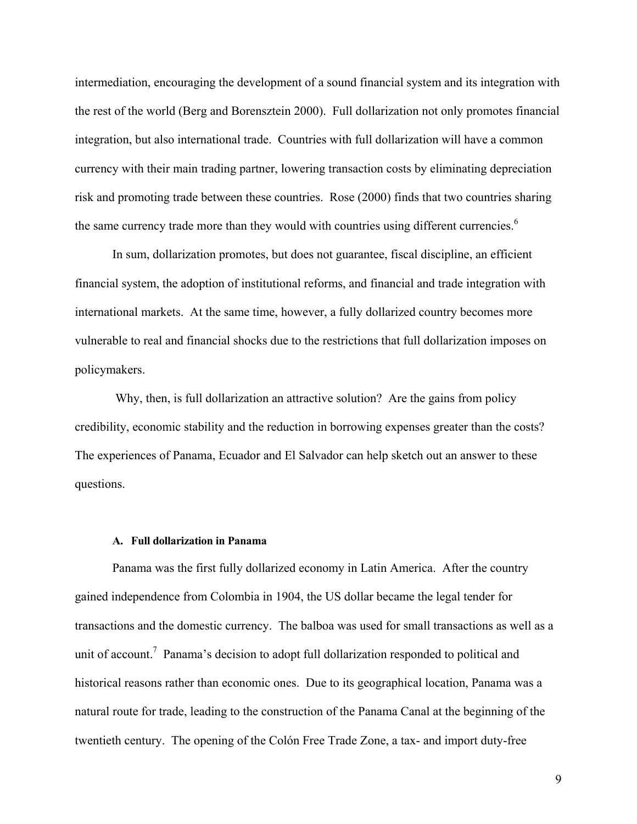intermediation, encouraging the development of a sound financial system and its integration with the rest of the world (Berg and Borensztein 2000). Full dollarization not only promotes financial integration, but also international trade. Countries with full dollarization will have a common currency with their main trading partner, lowering transaction costs by eliminating depreciation risk and promoting trade between these countries. Rose (2000) finds that two countries sharing the same currency trade more than they would with countries using different currencies.<sup>[6](#page-30-5)</sup>

In sum, dollarization promotes, but does not guarantee, fiscal discipline, an efficient financial system, the adoption of institutional reforms, and financial and trade integration with international markets. At the same time, however, a fully dollarized country becomes more vulnerable to real and financial shocks due to the restrictions that full dollarization imposes on policymakers.

 Why, then, is full dollarization an attractive solution? Are the gains from policy credibility, economic stability and the reduction in borrowing expenses greater than the costs? The experiences of Panama, Ecuador and El Salvador can help sketch out an answer to these questions.

# **A. Full dollarization in Panama**

Panama was the first fully dollarized economy in Latin America. After the country gained independence from Colombia in 1904, the US dollar became the legal tender for transactions and the domestic currency. The balboa was used for small transactions as well as a unit of account.<sup>7</sup> Panama's decision to adopt full dollarization responded to political and historical reasons rather than economic ones. Due to its geographical location, Panama was a natural route for trade, leading to the construction of the Panama Canal at the beginning of the twentieth century. The opening of the Colón Free Trade Zone, a tax- and import duty-free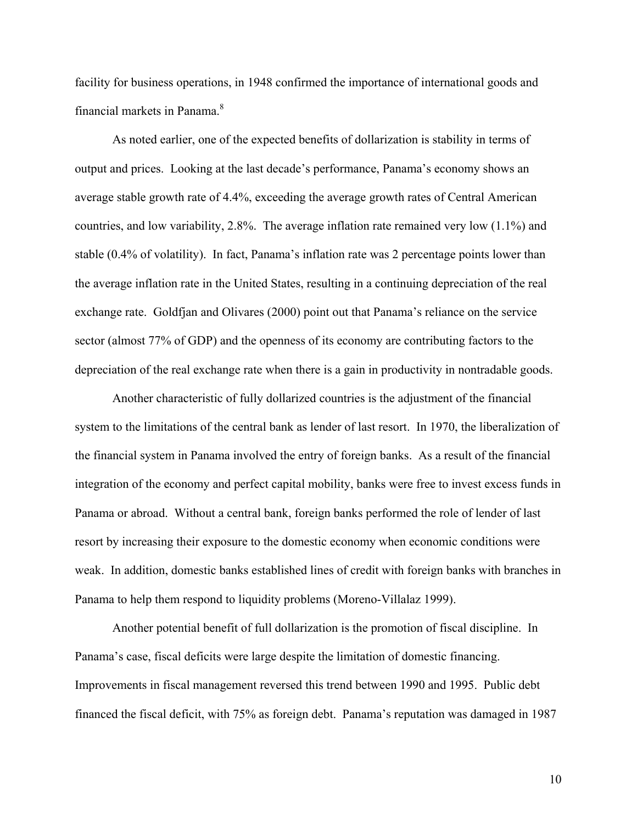facility for business operations, in 1948 confirmed the importance of international goods and financial markets in Panama.<sup>[8](#page-30-7)</sup>

As noted earlier, one of the expected benefits of dollarization is stability in terms of output and prices. Looking at the last decade's performance, Panama's economy shows an average stable growth rate of 4.4%, exceeding the average growth rates of Central American countries, and low variability, 2.8%. The average inflation rate remained very low (1.1%) and stable (0.4% of volatility). In fact, Panama's inflation rate was 2 percentage points lower than the average inflation rate in the United States, resulting in a continuing depreciation of the real exchange rate. Goldfjan and Olivares (2000) point out that Panama's reliance on the service sector (almost 77% of GDP) and the openness of its economy are contributing factors to the depreciation of the real exchange rate when there is a gain in productivity in nontradable goods.

Another characteristic of fully dollarized countries is the adjustment of the financial system to the limitations of the central bank as lender of last resort. In 1970, the liberalization of the financial system in Panama involved the entry of foreign banks. As a result of the financial integration of the economy and perfect capital mobility, banks were free to invest excess funds in Panama or abroad. Without a central bank, foreign banks performed the role of lender of last resort by increasing their exposure to the domestic economy when economic conditions were weak. In addition, domestic banks established lines of credit with foreign banks with branches in Panama to help them respond to liquidity problems (Moreno-Villalaz 1999).

Another potential benefit of full dollarization is the promotion of fiscal discipline. In Panama's case, fiscal deficits were large despite the limitation of domestic financing. Improvements in fiscal management reversed this trend between 1990 and 1995. Public debt financed the fiscal deficit, with 75% as foreign debt. Panama's reputation was damaged in 1987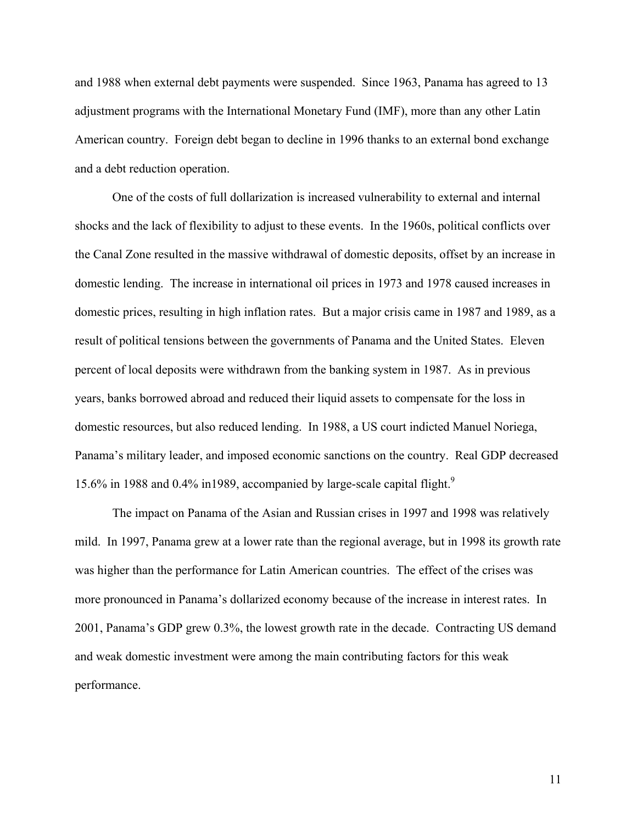and 1988 when external debt payments were suspended. Since 1963, Panama has agreed to 13 adjustment programs with the International Monetary Fund (IMF), more than any other Latin American country. Foreign debt began to decline in 1996 thanks to an external bond exchange and a debt reduction operation.

One of the costs of full dollarization is increased vulnerability to external and internal shocks and the lack of flexibility to adjust to these events. In the 1960s, political conflicts over the Canal Zone resulted in the massive withdrawal of domestic deposits, offset by an increase in domestic lending. The increase in international oil prices in 1973 and 1978 caused increases in domestic prices, resulting in high inflation rates. But a major crisis came in 1987 and 1989, as a result of political tensions between the governments of Panama and the United States. Eleven percent of local deposits were withdrawn from the banking system in 1987. As in previous years, banks borrowed abroad and reduced their liquid assets to compensate for the loss in domestic resources, but also reduced lending. In 1988, a US court indicted Manuel Noriega, Panama's military leader, and imposed economic sanctions on the country. Real GDP decreased 15.6% in 1[9](#page-30-8)88 and 0.4% in 1989, accompanied by large-scale capital flight.<sup>9</sup>

The impact on Panama of the Asian and Russian crises in 1997 and 1998 was relatively mild. In 1997, Panama grew at a lower rate than the regional average, but in 1998 its growth rate was higher than the performance for Latin American countries. The effect of the crises was more pronounced in Panama's dollarized economy because of the increase in interest rates. In 2001, Panama's GDP grew 0.3%, the lowest growth rate in the decade. Contracting US demand and weak domestic investment were among the main contributing factors for this weak performance.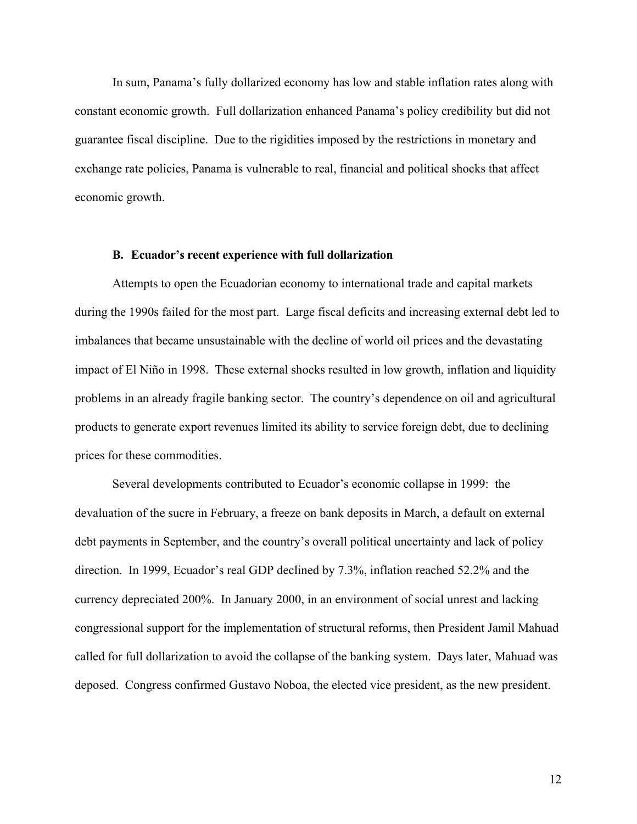In sum, Panama's fully dollarized economy has low and stable inflation rates along with constant economic growth. Full dollarization enhanced Panama's policy credibility but did not guarantee fiscal discipline. Due to the rigidities imposed by the restrictions in monetary and exchange rate policies, Panama is vulnerable to real, financial and political shocks that affect economic growth.

# **B. Ecuador's recent experience with full dollarization**

Attempts to open the Ecuadorian economy to international trade and capital markets during the 1990s failed for the most part. Large fiscal deficits and increasing external debt led to imbalances that became unsustainable with the decline of world oil prices and the devastating impact of El Niño in 1998. These external shocks resulted in low growth, inflation and liquidity problems in an already fragile banking sector. The country's dependence on oil and agricultural products to generate export revenues limited its ability to service foreign debt, due to declining prices for these commodities.

Several developments contributed to Ecuador's economic collapse in 1999: the devaluation of the sucre in February, a freeze on bank deposits in March, a default on external debt payments in September, and the country's overall political uncertainty and lack of policy direction. In 1999, Ecuador's real GDP declined by 7.3%, inflation reached 52.2% and the currency depreciated 200%. In January 2000, in an environment of social unrest and lacking congressional support for the implementation of structural reforms, then President Jamil Mahuad called for full dollarization to avoid the collapse of the banking system. Days later, Mahuad was deposed. Congress confirmed Gustavo Noboa, the elected vice president, as the new president.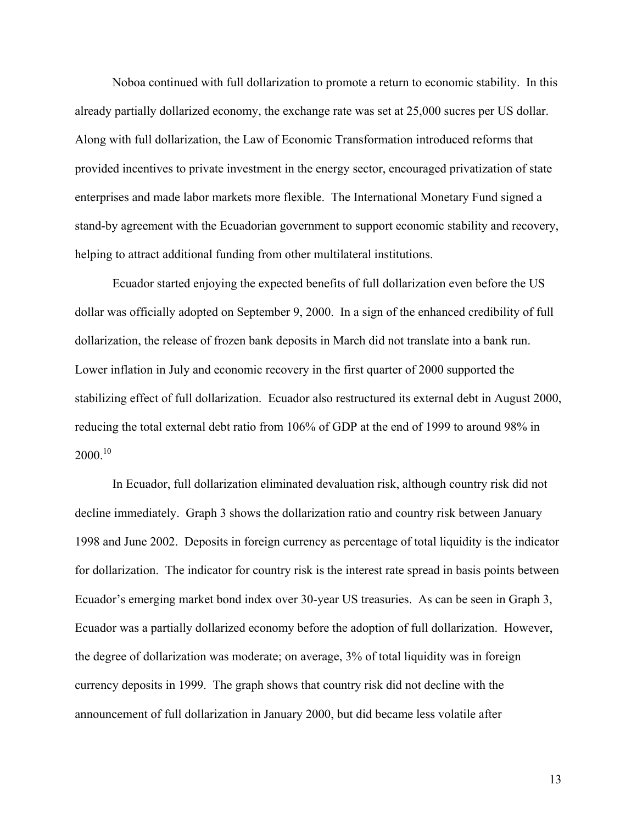Noboa continued with full dollarization to promote a return to economic stability. In this already partially dollarized economy, the exchange rate was set at 25,000 sucres per US dollar. Along with full dollarization, the Law of Economic Transformation introduced reforms that provided incentives to private investment in the energy sector, encouraged privatization of state enterprises and made labor markets more flexible. The International Monetary Fund signed a stand-by agreement with the Ecuadorian government to support economic stability and recovery, helping to attract additional funding from other multilateral institutions.

Ecuador started enjoying the expected benefits of full dollarization even before the US dollar was officially adopted on September 9, 2000. In a sign of the enhanced credibility of full dollarization, the release of frozen bank deposits in March did not translate into a bank run. Lower inflation in July and economic recovery in the first quarter of 2000 supported the stabilizing effect of full dollarization. Ecuador also restructured its external debt in August 2000, reducing the total external debt ratio from 106% of GDP at the end of 1999 to around 98% in  $2000^{10}$ 

In Ecuador, full dollarization eliminated devaluation risk, although country risk did not decline immediately. Graph 3 shows the dollarization ratio and country risk between January 1998 and June 2002. Deposits in foreign currency as percentage of total liquidity is the indicator for dollarization. The indicator for country risk is the interest rate spread in basis points between Ecuador's emerging market bond index over 30-year US treasuries. As can be seen in Graph 3, Ecuador was a partially dollarized economy before the adoption of full dollarization. However, the degree of dollarization was moderate; on average, 3% of total liquidity was in foreign currency deposits in 1999. The graph shows that country risk did not decline with the announcement of full dollarization in January 2000, but did became less volatile after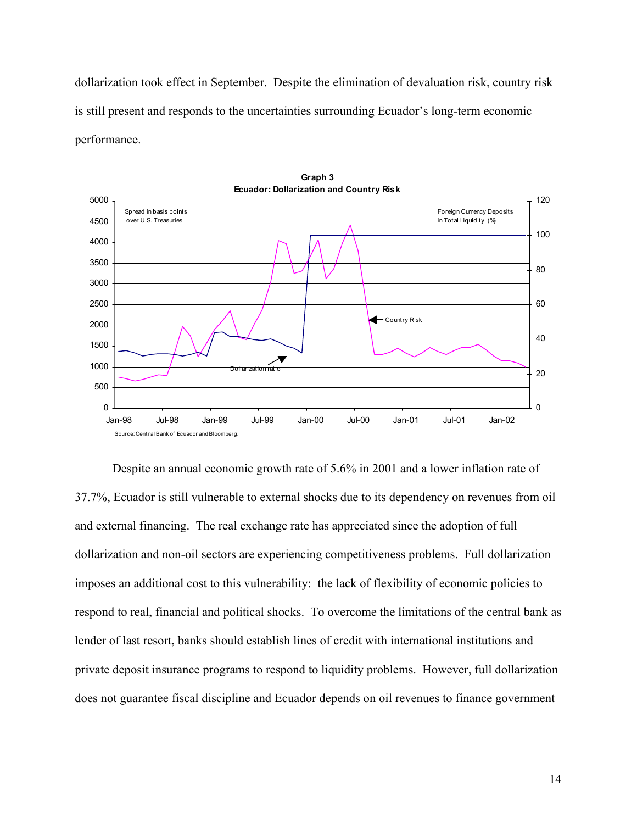dollarization took effect in September. Despite the elimination of devaluation risk, country risk is still present and responds to the uncertainties surrounding Ecuador's long-term economic performance.



Despite an annual economic growth rate of 5.6% in 2001 and a lower inflation rate of 37.7%, Ecuador is still vulnerable to external shocks due to its dependency on revenues from oil and external financing. The real exchange rate has appreciated since the adoption of full dollarization and non-oil sectors are experiencing competitiveness problems. Full dollarization imposes an additional cost to this vulnerability: the lack of flexibility of economic policies to respond to real, financial and political shocks. To overcome the limitations of the central bank as lender of last resort, banks should establish lines of credit with international institutions and private deposit insurance programs to respond to liquidity problems. However, full dollarization does not guarantee fiscal discipline and Ecuador depends on oil revenues to finance government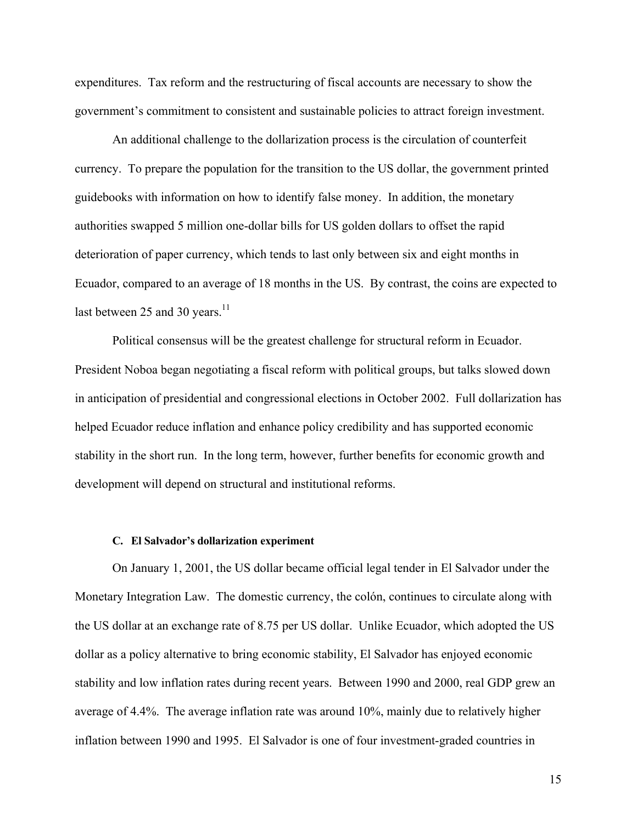expenditures. Tax reform and the restructuring of fiscal accounts are necessary to show the government's commitment to consistent and sustainable policies to attract foreign investment.

An additional challenge to the dollarization process is the circulation of counterfeit currency. To prepare the population for the transition to the US dollar, the government printed guidebooks with information on how to identify false money. In addition, the monetary authorities swapped 5 million one-dollar bills for US golden dollars to offset the rapid deterioration of paper currency, which tends to last only between six and eight months in Ecuador, compared to an average of 18 months in the US. By contrast, the coins are expected to last between 25 and 30 years. $11$ 

Political consensus will be the greatest challenge for structural reform in Ecuador. President Noboa began negotiating a fiscal reform with political groups, but talks slowed down in anticipation of presidential and congressional elections in October 2002. Full dollarization has helped Ecuador reduce inflation and enhance policy credibility and has supported economic stability in the short run. In the long term, however, further benefits for economic growth and development will depend on structural and institutional reforms.

#### **C. El Salvador's dollarization experiment**

On January 1, 2001, the US dollar became official legal tender in El Salvador under the Monetary Integration Law. The domestic currency, the colón, continues to circulate along with the US dollar at an exchange rate of 8.75 per US dollar. Unlike Ecuador, which adopted the US dollar as a policy alternative to bring economic stability, El Salvador has enjoyed economic stability and low inflation rates during recent years. Between 1990 and 2000, real GDP grew an average of 4.4%. The average inflation rate was around 10%, mainly due to relatively higher inflation between 1990 and 1995. El Salvador is one of four investment-graded countries in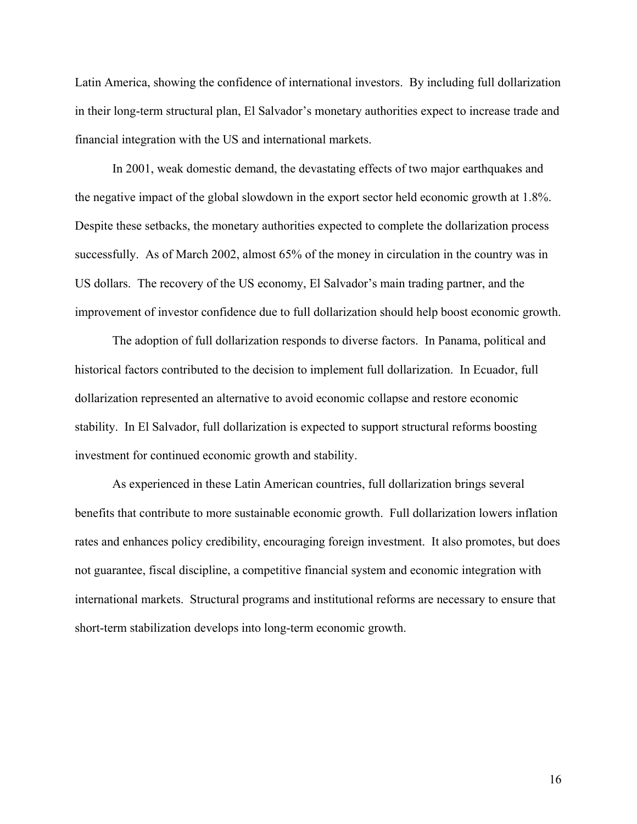Latin America, showing the confidence of international investors. By including full dollarization in their long-term structural plan, El Salvador's monetary authorities expect to increase trade and financial integration with the US and international markets.

In 2001, weak domestic demand, the devastating effects of two major earthquakes and the negative impact of the global slowdown in the export sector held economic growth at 1.8%. Despite these setbacks, the monetary authorities expected to complete the dollarization process successfully. As of March 2002, almost 65% of the money in circulation in the country was in US dollars. The recovery of the US economy, El Salvador's main trading partner, and the improvement of investor confidence due to full dollarization should help boost economic growth.

The adoption of full dollarization responds to diverse factors. In Panama, political and historical factors contributed to the decision to implement full dollarization. In Ecuador, full dollarization represented an alternative to avoid economic collapse and restore economic stability. In El Salvador, full dollarization is expected to support structural reforms boosting investment for continued economic growth and stability.

As experienced in these Latin American countries, full dollarization brings several benefits that contribute to more sustainable economic growth. Full dollarization lowers inflation rates and enhances policy credibility, encouraging foreign investment. It also promotes, but does not guarantee, fiscal discipline, a competitive financial system and economic integration with international markets. Structural programs and institutional reforms are necessary to ensure that short-term stabilization develops into long-term economic growth.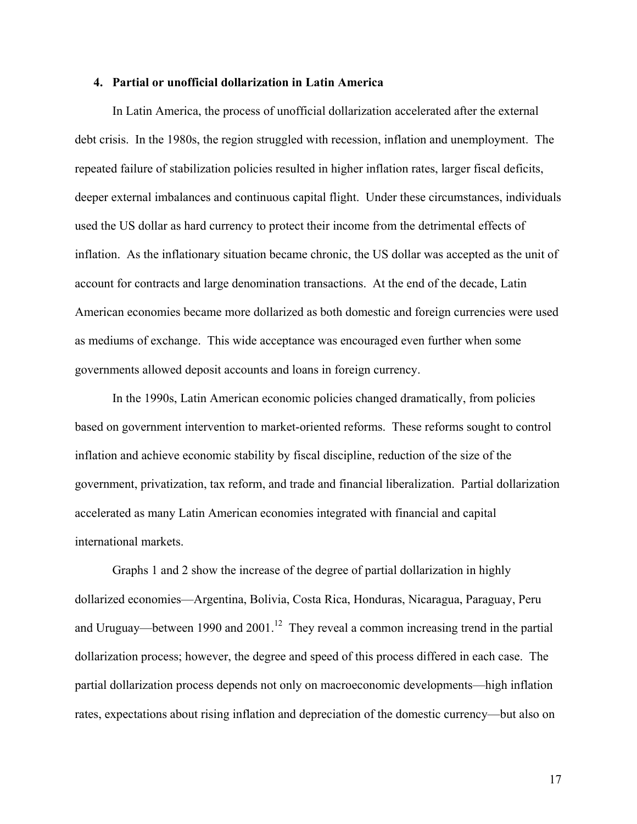# **4. Partial or unofficial dollarization in Latin America**

In Latin America, the process of unofficial dollarization accelerated after the external debt crisis. In the 1980s, the region struggled with recession, inflation and unemployment. The repeated failure of stabilization policies resulted in higher inflation rates, larger fiscal deficits, deeper external imbalances and continuous capital flight. Under these circumstances, individuals used the US dollar as hard currency to protect their income from the detrimental effects of inflation. As the inflationary situation became chronic, the US dollar was accepted as the unit of account for contracts and large denomination transactions. At the end of the decade, Latin American economies became more dollarized as both domestic and foreign currencies were used as mediums of exchange. This wide acceptance was encouraged even further when some governments allowed deposit accounts and loans in foreign currency.

In the 1990s, Latin American economic policies changed dramatically, from policies based on government intervention to market-oriented reforms. These reforms sought to control inflation and achieve economic stability by fiscal discipline, reduction of the size of the government, privatization, tax reform, and trade and financial liberalization. Partial dollarization accelerated as many Latin American economies integrated with financial and capital international markets.

Graphs 1 and 2 show the increase of the degree of partial dollarization in highly dollarized economies—Argentina, Bolivia, Costa Rica, Honduras, Nicaragua, Paraguay, Peru and Uruguay—between 1990 and  $2001$ .<sup>12</sup> They reveal a common increasing trend in the partial dollarization process; however, the degree and speed of this process differed in each case. The partial dollarization process depends not only on macroeconomic developments—high inflation rates, expectations about rising inflation and depreciation of the domestic currency—but also on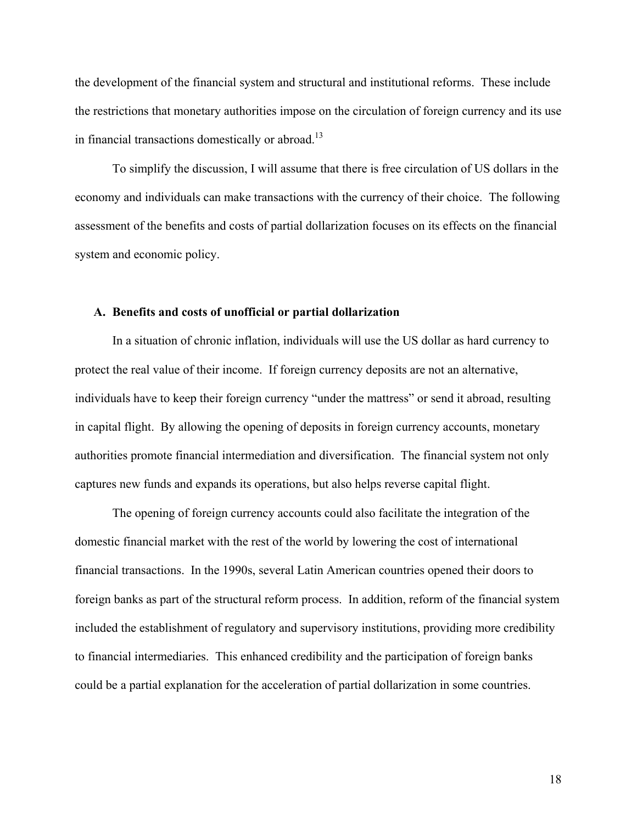the development of the financial system and structural and institutional reforms. These include the restrictions that monetary authorities impose on the circulation of foreign currency and its use in financial transactions domestically or abroad.<sup>13</sup>

To simplify the discussion, I will assume that there is free circulation of US dollars in the economy and individuals can make transactions with the currency of their choice. The following assessment of the benefits and costs of partial dollarization focuses on its effects on the financial system and economic policy.

#### **A. Benefits and costs of unofficial or partial dollarization**

In a situation of chronic inflation, individuals will use the US dollar as hard currency to protect the real value of their income. If foreign currency deposits are not an alternative, individuals have to keep their foreign currency "under the mattress" or send it abroad, resulting in capital flight. By allowing the opening of deposits in foreign currency accounts, monetary authorities promote financial intermediation and diversification. The financial system not only captures new funds and expands its operations, but also helps reverse capital flight.

The opening of foreign currency accounts could also facilitate the integration of the domestic financial market with the rest of the world by lowering the cost of international financial transactions. In the 1990s, several Latin American countries opened their doors to foreign banks as part of the structural reform process. In addition, reform of the financial system included the establishment of regulatory and supervisory institutions, providing more credibility to financial intermediaries. This enhanced credibility and the participation of foreign banks could be a partial explanation for the acceleration of partial dollarization in some countries.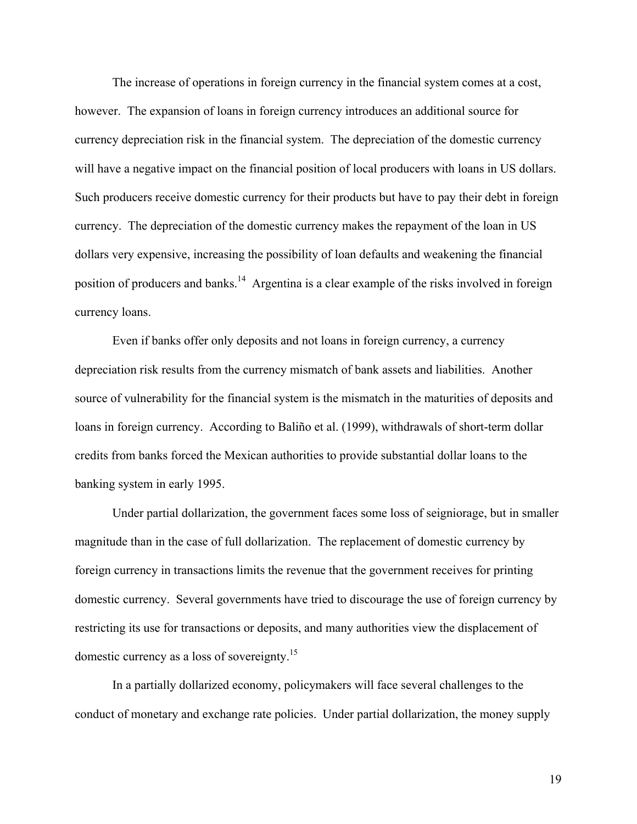The increase of operations in foreign currency in the financial system comes at a cost, however. The expansion of loans in foreign currency introduces an additional source for currency depreciation risk in the financial system. The depreciation of the domestic currency will have a negative impact on the financial position of local producers with loans in US dollars. Such producers receive domestic currency for their products but have to pay their debt in foreign currency. The depreciation of the domestic currency makes the repayment of the loan in US dollars very expensive, increasing the possibility of loan defaults and weakening the financial position of producers and banks.[14](#page-30-12) Argentina is a clear example of the risks involved in foreign currency loans.

Even if banks offer only deposits and not loans in foreign currency, a currency depreciation risk results from the currency mismatch of bank assets and liabilities. Another source of vulnerability for the financial system is the mismatch in the maturities of deposits and loans in foreign currency. According to Baliño et al. (1999), withdrawals of short-term dollar credits from banks forced the Mexican authorities to provide substantial dollar loans to the banking system in early 1995.

Under partial dollarization, the government faces some loss of seigniorage, but in smaller magnitude than in the case of full dollarization. The replacement of domestic currency by foreign currency in transactions limits the revenue that the government receives for printing domestic currency. Several governments have tried to discourage the use of foreign currency by restricting its use for transactions or deposits, and many authorities view the displacement of domestic currency as a loss of sovereignty[.15](#page-30-13) 

In a partially dollarized economy, policymakers will face several challenges to the conduct of monetary and exchange rate policies. Under partial dollarization, the money supply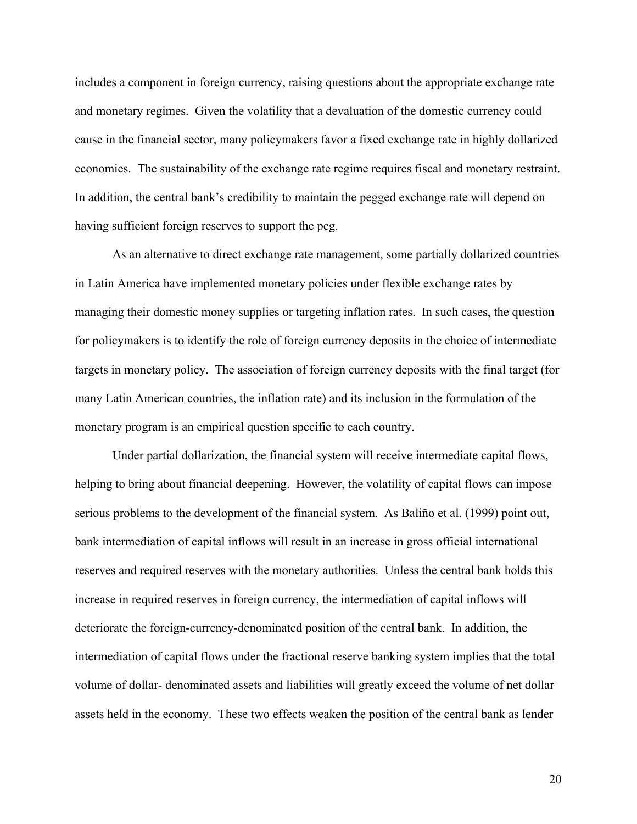includes a component in foreign currency, raising questions about the appropriate exchange rate and monetary regimes. Given the volatility that a devaluation of the domestic currency could cause in the financial sector, many policymakers favor a fixed exchange rate in highly dollarized economies. The sustainability of the exchange rate regime requires fiscal and monetary restraint. In addition, the central bank's credibility to maintain the pegged exchange rate will depend on having sufficient foreign reserves to support the peg.

As an alternative to direct exchange rate management, some partially dollarized countries in Latin America have implemented monetary policies under flexible exchange rates by managing their domestic money supplies or targeting inflation rates. In such cases, the question for policymakers is to identify the role of foreign currency deposits in the choice of intermediate targets in monetary policy. The association of foreign currency deposits with the final target (for many Latin American countries, the inflation rate) and its inclusion in the formulation of the monetary program is an empirical question specific to each country.

Under partial dollarization, the financial system will receive intermediate capital flows, helping to bring about financial deepening. However, the volatility of capital flows can impose serious problems to the development of the financial system. As Baliño et al. (1999) point out, bank intermediation of capital inflows will result in an increase in gross official international reserves and required reserves with the monetary authorities. Unless the central bank holds this increase in required reserves in foreign currency, the intermediation of capital inflows will deteriorate the foreign-currency-denominated position of the central bank. In addition, the intermediation of capital flows under the fractional reserve banking system implies that the total volume of dollar- denominated assets and liabilities will greatly exceed the volume of net dollar assets held in the economy. These two effects weaken the position of the central bank as lender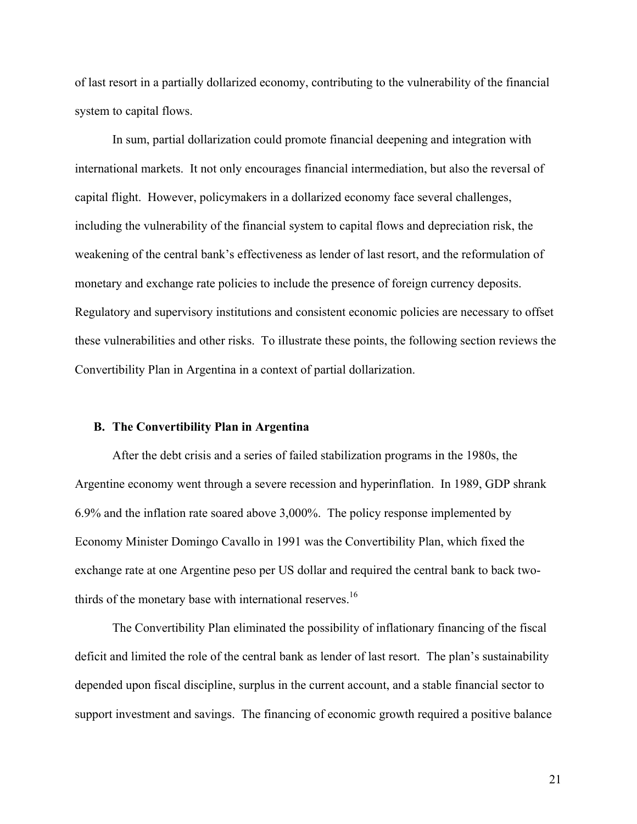of last resort in a partially dollarized economy, contributing to the vulnerability of the financial system to capital flows.

In sum, partial dollarization could promote financial deepening and integration with international markets. It not only encourages financial intermediation, but also the reversal of capital flight. However, policymakers in a dollarized economy face several challenges, including the vulnerability of the financial system to capital flows and depreciation risk, the weakening of the central bank's effectiveness as lender of last resort, and the reformulation of monetary and exchange rate policies to include the presence of foreign currency deposits. Regulatory and supervisory institutions and consistent economic policies are necessary to offset these vulnerabilities and other risks. To illustrate these points, the following section reviews the Convertibility Plan in Argentina in a context of partial dollarization.

# **B. The Convertibility Plan in Argentina**

After the debt crisis and a series of failed stabilization programs in the 1980s, the Argentine economy went through a severe recession and hyperinflation. In 1989, GDP shrank 6.9% and the inflation rate soared above 3,000%. The policy response implemented by Economy Minister Domingo Cavallo in 1991 was the Convertibility Plan, which fixed the exchange rate at one Argentine peso per US dollar and required the central bank to back twothirds of the monetary base with international reserves.<sup>16</sup>

The Convertibility Plan eliminated the possibility of inflationary financing of the fiscal deficit and limited the role of the central bank as lender of last resort. The plan's sustainability depended upon fiscal discipline, surplus in the current account, and a stable financial sector to support investment and savings. The financing of economic growth required a positive balance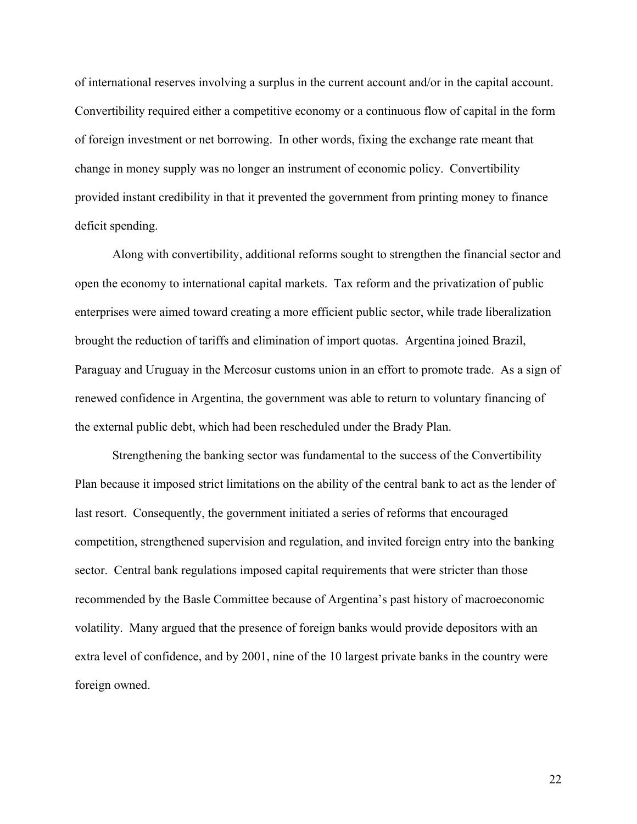of international reserves involving a surplus in the current account and/or in the capital account. Convertibility required either a competitive economy or a continuous flow of capital in the form of foreign investment or net borrowing. In other words, fixing the exchange rate meant that change in money supply was no longer an instrument of economic policy. Convertibility provided instant credibility in that it prevented the government from printing money to finance deficit spending.

Along with convertibility, additional reforms sought to strengthen the financial sector and open the economy to international capital markets. Tax reform and the privatization of public enterprises were aimed toward creating a more efficient public sector, while trade liberalization brought the reduction of tariffs and elimination of import quotas. Argentina joined Brazil, Paraguay and Uruguay in the Mercosur customs union in an effort to promote trade. As a sign of renewed confidence in Argentina, the government was able to return to voluntary financing of the external public debt, which had been rescheduled under the Brady Plan.

Strengthening the banking sector was fundamental to the success of the Convertibility Plan because it imposed strict limitations on the ability of the central bank to act as the lender of last resort. Consequently, the government initiated a series of reforms that encouraged competition, strengthened supervision and regulation, and invited foreign entry into the banking sector. Central bank regulations imposed capital requirements that were stricter than those recommended by the Basle Committee because of Argentina's past history of macroeconomic volatility. Many argued that the presence of foreign banks would provide depositors with an extra level of confidence, and by 2001, nine of the 10 largest private banks in the country were foreign owned.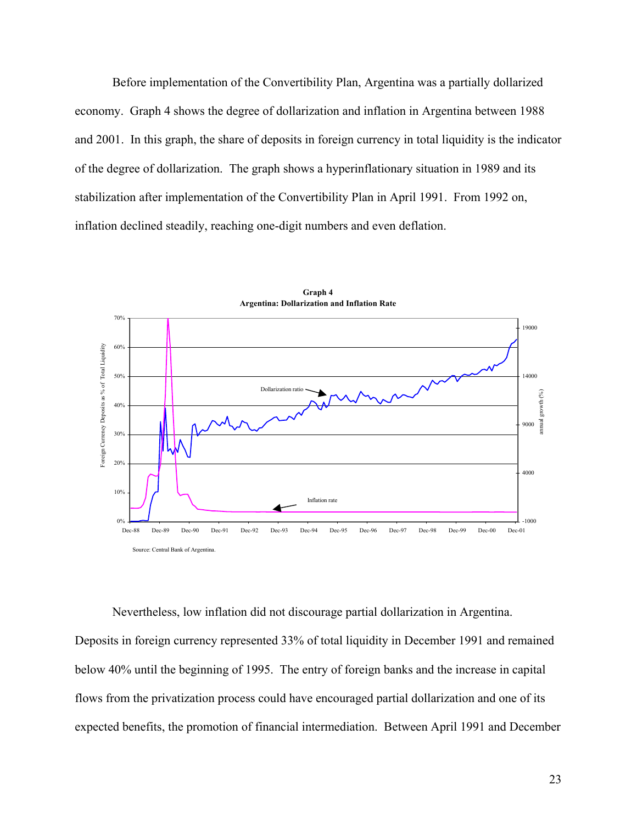Before implementation of the Convertibility Plan, Argentina was a partially dollarized economy. Graph 4 shows the degree of dollarization and inflation in Argentina between 1988 and 2001. In this graph, the share of deposits in foreign currency in total liquidity is the indicator of the degree of dollarization. The graph shows a hyperinflationary situation in 1989 and its stabilization after implementation of the Convertibility Plan in April 1991. From 1992 on, inflation declined steadily, reaching one-digit numbers and even deflation.



**Graph 4**

Nevertheless, low inflation did not discourage partial dollarization in Argentina. Deposits in foreign currency represented 33% of total liquidity in December 1991 and remained below 40% until the beginning of 1995. The entry of foreign banks and the increase in capital flows from the privatization process could have encouraged partial dollarization and one of its

expected benefits, the promotion of financial intermediation. Between April 1991 and December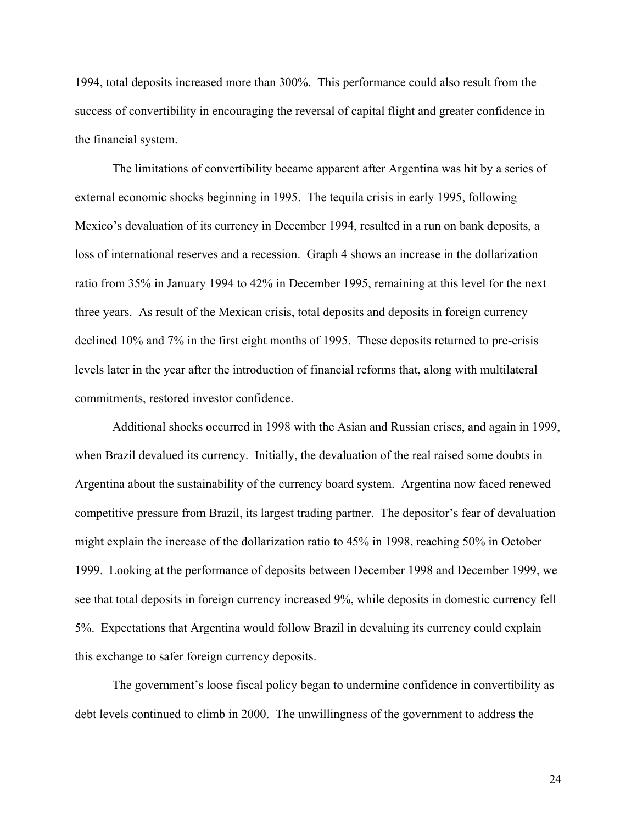1994, total deposits increased more than 300%. This performance could also result from the success of convertibility in encouraging the reversal of capital flight and greater confidence in the financial system.

The limitations of convertibility became apparent after Argentina was hit by a series of external economic shocks beginning in 1995. The tequila crisis in early 1995, following Mexico's devaluation of its currency in December 1994, resulted in a run on bank deposits, a loss of international reserves and a recession. Graph 4 shows an increase in the dollarization ratio from 35% in January 1994 to 42% in December 1995, remaining at this level for the next three years. As result of the Mexican crisis, total deposits and deposits in foreign currency declined 10% and 7% in the first eight months of 1995. These deposits returned to pre-crisis levels later in the year after the introduction of financial reforms that, along with multilateral commitments, restored investor confidence.

Additional shocks occurred in 1998 with the Asian and Russian crises, and again in 1999, when Brazil devalued its currency. Initially, the devaluation of the real raised some doubts in Argentina about the sustainability of the currency board system. Argentina now faced renewed competitive pressure from Brazil, its largest trading partner. The depositor's fear of devaluation might explain the increase of the dollarization ratio to 45% in 1998, reaching 50% in October 1999. Looking at the performance of deposits between December 1998 and December 1999, we see that total deposits in foreign currency increased 9%, while deposits in domestic currency fell 5%. Expectations that Argentina would follow Brazil in devaluing its currency could explain this exchange to safer foreign currency deposits.

The government's loose fiscal policy began to undermine confidence in convertibility as debt levels continued to climb in 2000. The unwillingness of the government to address the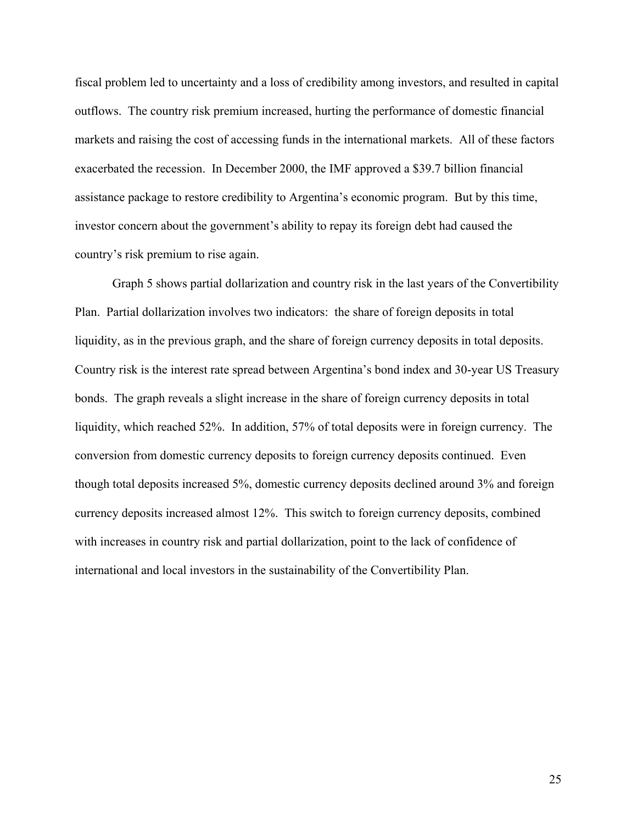fiscal problem led to uncertainty and a loss of credibility among investors, and resulted in capital outflows. The country risk premium increased, hurting the performance of domestic financial markets and raising the cost of accessing funds in the international markets. All of these factors exacerbated the recession. In December 2000, the IMF approved a \$39.7 billion financial assistance package to restore credibility to Argentina's economic program. But by this time, investor concern about the government's ability to repay its foreign debt had caused the country's risk premium to rise again.

Graph 5 shows partial dollarization and country risk in the last years of the Convertibility Plan. Partial dollarization involves two indicators: the share of foreign deposits in total liquidity, as in the previous graph, and the share of foreign currency deposits in total deposits. Country risk is the interest rate spread between Argentina's bond index and 30-year US Treasury bonds. The graph reveals a slight increase in the share of foreign currency deposits in total liquidity, which reached 52%. In addition, 57% of total deposits were in foreign currency. The conversion from domestic currency deposits to foreign currency deposits continued. Even though total deposits increased 5%, domestic currency deposits declined around 3% and foreign currency deposits increased almost 12%. This switch to foreign currency deposits, combined with increases in country risk and partial dollarization, point to the lack of confidence of international and local investors in the sustainability of the Convertibility Plan.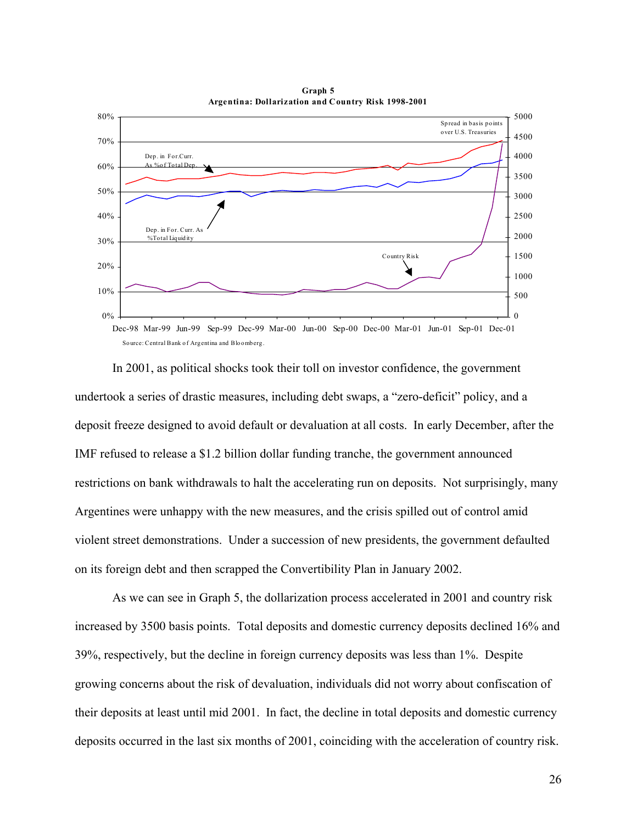

**Graph 5 Argentina: Dollarization and Country Risk 1998-2001**

In 2001, as political shocks took their toll on investor confidence, the government undertook a series of drastic measures, including debt swaps, a "zero-deficit" policy, and a deposit freeze designed to avoid default or devaluation at all costs. In early December, after the IMF refused to release a \$1.2 billion dollar funding tranche, the government announced restrictions on bank withdrawals to halt the accelerating run on deposits. Not surprisingly, many Argentines were unhappy with the new measures, and the crisis spilled out of control amid violent street demonstrations. Under a succession of new presidents, the government defaulted on its foreign debt and then scrapped the Convertibility Plan in January 2002.

As we can see in Graph 5, the dollarization process accelerated in 2001 and country risk increased by 3500 basis points. Total deposits and domestic currency deposits declined 16% and 39%, respectively, but the decline in foreign currency deposits was less than 1%. Despite growing concerns about the risk of devaluation, individuals did not worry about confiscation of their deposits at least until mid 2001. In fact, the decline in total deposits and domestic currency deposits occurred in the last six months of 2001, coinciding with the acceleration of country risk.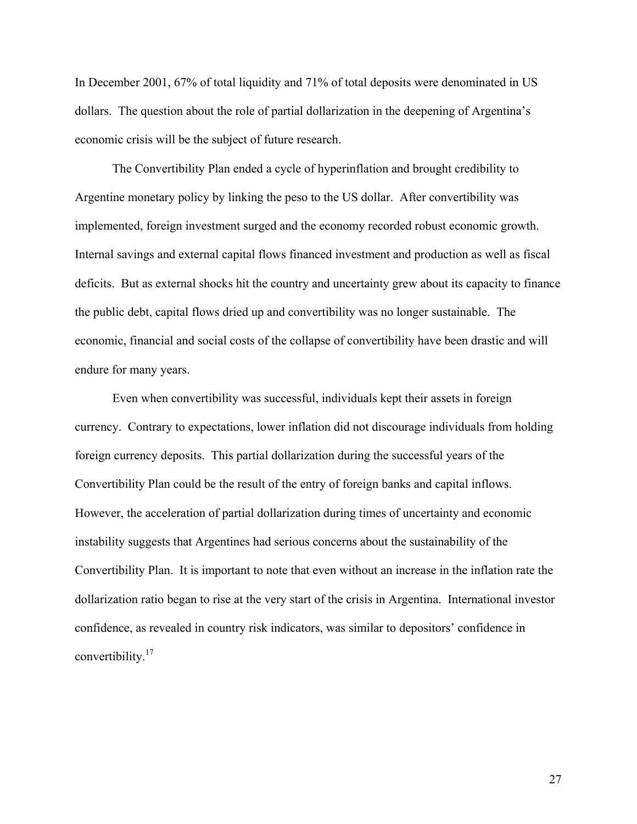In December 2001, 67% of total liquidity and 71% of total deposits were denominated in US dollars. The question about the role of partial dollarization in the deepening of Argentina's economic crisis will be the subject of future research.

The Convertibility Plan ended a cycle of hyperinflation and brought credibility to Argentine monetary policy by linking the peso to the US dollar. After convertibility was implemented, foreign investment surged and the economy recorded robust economic growth. Internal savings and external capital flows financed investment and production as well as fiscal deficits. But as external shocks hit the country and uncertainty grew about its capacity to finance the public debt, capital flows dried up and convertibility was no longer sustainable. The economic, financial and social costs of the collapse of convertibility have been drastic and will endure for many years.

Even when convertibility was successful, individuals kept their assets in foreign currency. Contrary to expectations, lower inflation did not discourage individuals from holding foreign currency deposits. This partial dollarization during the successful years of the Convertibility Plan could be the result of the entry of foreign banks and capital inflows. However, the acceleration of partial dollarization during times of uncertainty and economic instability suggests that Argentines had serious concerns about the sustainability of the Convertibility Plan. It is important to note that even without an increase in the inflation rate the dollarization ratio began to rise at the very start of the crisis in Argentina. International investor confidence, as revealed in country risk indicators, was similar to depositors' confidence in convertibility.[17](#page-30-15)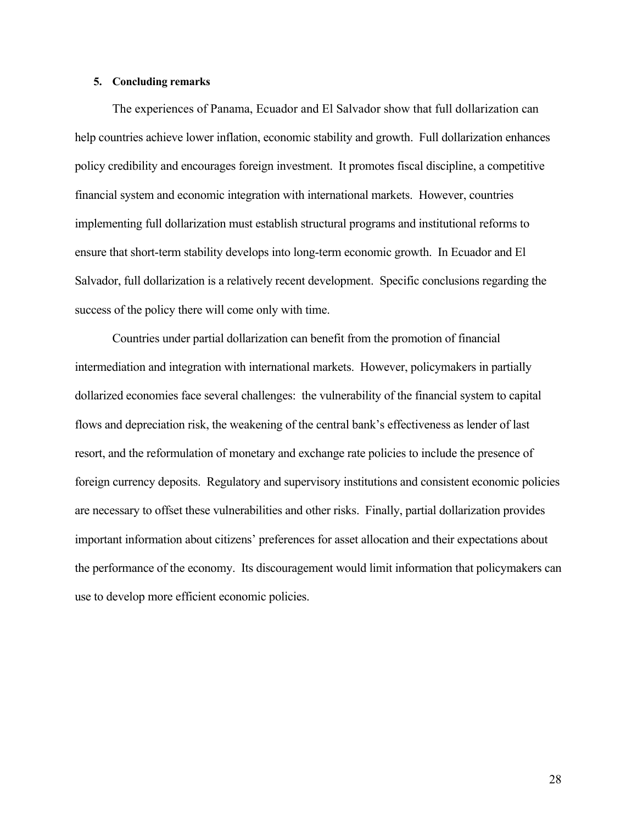# **5. Concluding remarks**

The experiences of Panama, Ecuador and El Salvador show that full dollarization can help countries achieve lower inflation, economic stability and growth. Full dollarization enhances policy credibility and encourages foreign investment. It promotes fiscal discipline, a competitive financial system and economic integration with international markets. However, countries implementing full dollarization must establish structural programs and institutional reforms to ensure that short-term stability develops into long-term economic growth. In Ecuador and El Salvador, full dollarization is a relatively recent development. Specific conclusions regarding the success of the policy there will come only with time.

Countries under partial dollarization can benefit from the promotion of financial intermediation and integration with international markets. However, policymakers in partially dollarized economies face several challenges: the vulnerability of the financial system to capital flows and depreciation risk, the weakening of the central bank's effectiveness as lender of last resort, and the reformulation of monetary and exchange rate policies to include the presence of foreign currency deposits. Regulatory and supervisory institutions and consistent economic policies are necessary to offset these vulnerabilities and other risks. Finally, partial dollarization provides important information about citizens' preferences for asset allocation and their expectations about the performance of the economy. Its discouragement would limit information that policymakers can use to develop more efficient economic policies.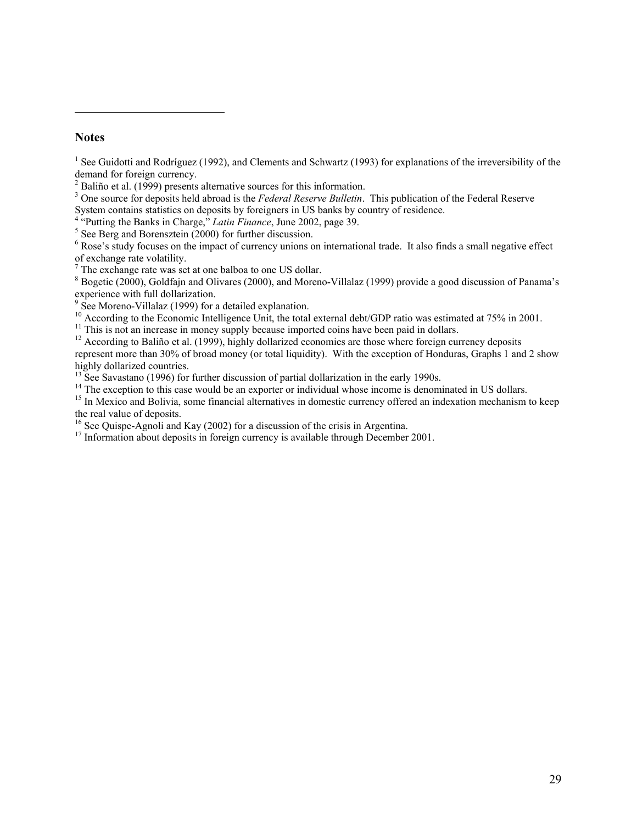# **Notes**

 $\overline{a}$ 

<sup>1</sup> See Guidotti and Rodríguez (1992), and Clements and Schwartz (1993) for explanations of the irreversibility of the demand for foreign currency.

 $2^2$  Baliño et al. (1999) presents alternative sources for this information.

<sup>3</sup> One source for deposits held abroad is the *Federal Reserve Bulletin*. This publication of the Federal Reserve System contains statistics on deposits by foreigners in US banks by country of residence.

 $^{4}$ <sup>2</sup> Putting the Banks in Charge, $^{5}$  *Latin Finance*, June 2002, page 39.

 $5$  See Berg and Borensztein (2000) for further discussion.

 $6$  Rose's study focuses on the impact of currency unions on international trade. It also finds a small negative effect

of exchange rate volatility. 7 The exchange rate was set at one balboa to one US dollar.

 $8$  Bogetic (2000), Goldfajn and Olivares (2000), and Moreno-Villalaz (1999) provide a good discussion of Panama's

experience with full dollarization.<br><sup>9</sup> See Moreno-Villalaz (1999) for a detailed explanation.

<sup>10</sup> According to the Economic Intelligence Unit, the total external debt/GDP ratio was estimated at 75% in 2001.

 $11$  This is not an increase in money supply because imported coins have been paid in dollars.

 $12$  According to Baliño et al. (1999), highly dollarized economies are those where foreign currency deposits represent more than 30% of broad money (or total liquidity). With the exception of Honduras, Graphs 1 and 2 show highly dollarized countries.

<sup>13</sup> See Savastano (1996) for further discussion of partial dollarization in the early 1990s.

<sup>14</sup> The exception to this case would be an exporter or individual whose income is denominated in US dollars.

<sup>15</sup> In Mexico and Bolivia, some financial alternatives in domestic currency offered an indexation mechanism to keep the real value of deposits.<br><sup>16</sup> See Quispe-Agnoli and Kay (2002) for a discussion of the crisis in Argentina.

 $17$  Information about deposits in foreign currency is available through December 2001.